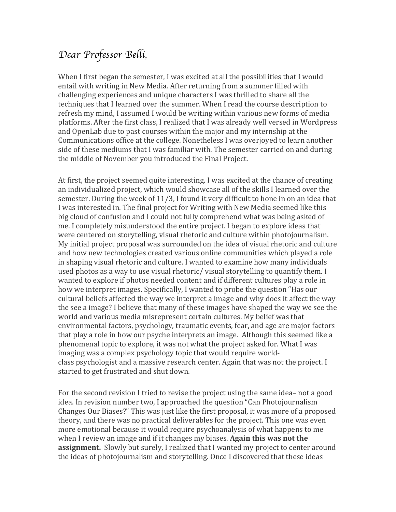## *Dear Professor Belli,*

When I first began the semester, I was excited at all the possibilities that I would entail with writing in New Media. After returning from a summer filled with challenging experiences and unique characters I was thrilled to share all the techniques that I learned over the summer. When I read the course description to refresh my mind, I assumed I would be writing within various new forms of media platforms. After the first class, I realized that I was already well versed in Wordpress and OpenLab due to past courses within the major and my internship at the Communications office at the college. Nonetheless I was overjoyed to learn another side of these mediums that I was familiar with. The semester carried on and during the middle of November you introduced the Final Project.

At first, the project seemed quite interesting. I was excited at the chance of creating an individualized project, which would showcase all of the skills I learned over the semester. During the week of  $11/3$ , I found it very difficult to hone in on an idea that I was interested in. The final project for Writing with New Media seemed like this big cloud of confusion and I could not fully comprehend what was being asked of me. I completely misunderstood the entire project. I began to explore ideas that were centered on storytelling, visual rhetoric and culture within photojournalism. My initial project proposal was surrounded on the idea of visual rhetoric and culture and how new technologies created various online communities which played a role in shaping visual rhetoric and culture. I wanted to examine how many individuals used photos as a way to use visual rhetoric/ visual storytelling to quantify them. I wanted to explore if photos needed content and if different cultures play a role in how we interpret images. Specifically, I wanted to probe the question "Has our cultural beliefs affected the way we interpret a image and why does it affect the way the see a image? I believe that many of these images have shaped the way we see the world and various media misrepresent certain cultures. My belief was that environmental factors, psychology, traumatic events, fear, and age are major factors that play a role in how our psyche interprets an image. Although this seemed like a phenomenal topic to explore, it was not what the project asked for. What I was imaging was a complex psychology topic that would require worldclass psychologist and a massive research center. Again that was not the project. I started to get frustrated and shut down.

For the second revision I tried to revise the project using the same idea– not a good idea. In revision number two, I approached the question "Can Photojournalism Changes Our Biases?" This was just like the first proposal, it was more of a proposed theory, and there was no practical deliverables for the project. This one was even more emotional because it would require psychoanalysis of what happens to me when I review an image and if it changes my biases. **Again this was not the assignment.** Slowly but surely, I realized that I wanted my project to center around the ideas of photojournalism and storytelling. Once I discovered that these ideas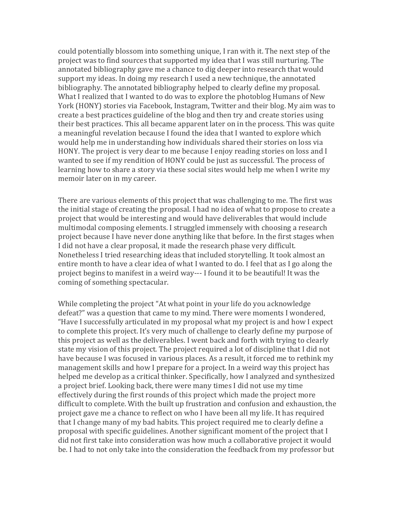could potentially blossom into something unique, I ran with it. The next step of the project was to find sources that supported my idea that I was still nurturing. The annotated bibliography gave me a chance to dig deeper into research that would support my ideas. In doing my research I used a new technique, the annotated bibliography. The annotated bibliography helped to clearly define my proposal. What I realized that I wanted to do was to explore the photoblog Humans of New York (HONY) stories via Facebook, Instagram, Twitter and their blog. My aim was to create a best practices guideline of the blog and then try and create stories using their best practices. This all became apparent later on in the process. This was quite a meaningful revelation because I found the idea that I wanted to explore which would help me in understanding how individuals shared their stories on loss via HONY. The project is very dear to me because I enjoy reading stories on loss and I wanted to see if my rendition of HONY could be just as successful. The process of learning how to share a story via these social sites would help me when I write my memoir later on in my career.

There are various elements of this project that was challenging to me. The first was the initial stage of creating the proposal. I had no idea of what to propose to create a project that would be interesting and would have deliverables that would include multimodal composing elements. I struggled immensely with choosing a research project because I have never done anything like that before. In the first stages when I did not have a clear proposal, it made the research phase very difficult. Nonetheless I tried researching ideas that included storytelling. It took almost an entire month to have a clear idea of what I wanted to do. I feel that as I go along the project begins to manifest in a weird way--- I found it to be beautiful! It was the coming of something spectacular.

While completing the project "At what point in your life do you acknowledge defeat?" was a question that came to my mind. There were moments I wondered, "Have I successfully articulated in my proposal what my project is and how I expect to complete this project. It's very much of challenge to clearly define my purpose of this project as well as the deliverables. I went back and forth with trying to clearly state my vision of this project. The project required a lot of discipline that I did not have because I was focused in various places. As a result, it forced me to rethink my management skills and how I prepare for a project. In a weird way this project has helped me develop as a critical thinker. Specifically, how I analyzed and synthesized a project brief. Looking back, there were many times I did not use my time effectively during the first rounds of this project which made the project more difficult to complete. With the built up frustration and confusion and exhaustion, the project gave me a chance to reflect on who I have been all my life. It has required that I change many of my bad habits. This project required me to clearly define a proposal with specific guidelines. Another significant moment of the project that  $I$ did not first take into consideration was how much a collaborative project it would be. I had to not only take into the consideration the feedback from my professor but